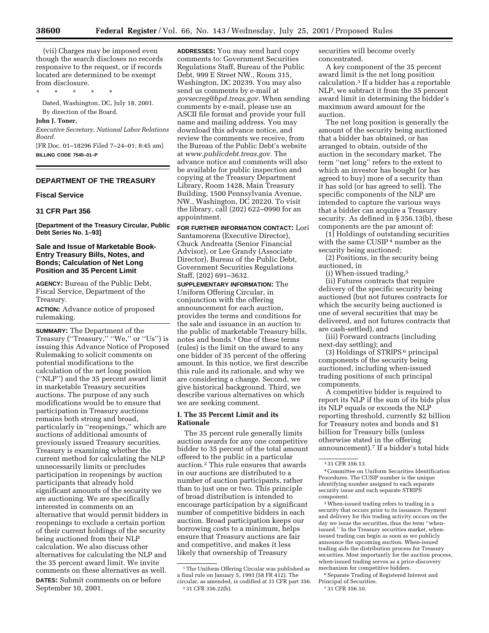(vii) Charges may be imposed even though the search discloses no records responsive to the request, or if records located are determined to be exempt from disclosure.

\* \* \* \* \*

Dated, Washington, DC, July 18, 2001. By direction of the Board.

#### **John J. Toner,**

*Executive Secretary, National Labor Relations Board.*

[FR Doc. 01–18296 Filed 7–24–01; 8:45 am] **BILLING CODE 7545–01–P**

# **DEPARTMENT OF THE TREASURY**

#### **Fiscal Service**

### **31 CFR Part 356**

**[Department of the Treasury Circular, Public Debt Series No. 1–93]**

# **Sale and Issue of Marketable Book-Entry Treasury Bills, Notes, and Bonds; Calculation of Net Long Position and 35 Percent Limit**

**AGENCY:** Bureau of the Public Debt, Fiscal Service, Department of the Treasury.

**ACTION:** Advance notice of proposed rulemaking.

**SUMMARY:** The Department of the Treasury (''Treasury,'' ''We,'' or ''Us'') is issuing this Advance Notice of Proposed Rulemaking to solicit comments on potential modifications to the calculation of the net long position (''NLP'') and the 35 percent award limit in marketable Treasury securities auctions. The purpose of any such modifications would be to ensure that participation in Treasury auctions remains both strong and broad, particularly in ''reopenings,'' which are auctions of additional amounts of previously issued Treasury securities. Treasury is examining whether the current method for calculating the NLP unnecessarily limits or precludes participation in reopenings by auction participants that already hold significant amounts of the security we are auctioning. We are specifically interested in comments on an alternative that would permit bidders in reopenings to exclude a certain portion of their current holdings of the security being auctioned from their NLP calculation. We also discuss other alternatives for calculating the NLP and the 35 percent award limit. We invite comments on these alternatives as well. **DATES:** Submit comments on or before

September 10, 2001.

**ADDRESSES:** You may send hard copy comments to: Government Securities Regulations Staff, Bureau of the Public Debt, 999 E Street NW., Room 315, Washington, DC 20239. You may also send us comments by e-mail at *govsecreg@bpd.treas.gov.* When sending comments by e-mail, please use an ASCII file format and provide your full name and mailing address. You may download this advance notice, and review the comments we receive, from the Bureau of the Public Debt's website at *www.publicdebt.treas.gov.* The advance notice and comments will also be available for public inspection and copying at the Treasury Department Library, Room 1428, Main Treasury Building, 1500 Pennsylvania Avenue, NW., Washington, DC 20220. To visit the library, call (202) 622–0990 for an appointment.

**FOR FURTHER INFORMATION CONTACT:** Lori Santamorena (Executive Director), Chuck Andreatta (Senior Financial Advisor), or Lee Grandy (Associate Director), Bureau of the Public Debt, Government Securities Regulations Staff, (202) 691–3632.

**SUPPLEMENTARY INFORMATION:** The Uniform Offering Circular, in conjunction with the offering announcement for each auction, provides the terms and conditions for the sale and issuance in an auction to the public of marketable Treasury bills, notes and bonds.1 One of these terms (rules) is the limit on the award to any one bidder of 35 percent of the offering amount. In this notice, we first describe this rule and its rationale, and why we are considering a change. Second, we give historical background. Third, we describe various alternatives on which we are seeking comment.

#### **I. The 35 Percent Limit and its Rationale**

The 35 percent rule generally limits auction awards for any one competitive bidder to 35 percent of the total amount offered to the public in a particular auction.2 This rule ensures that awards in our auctions are distributed to a number of auction participants, rather than to just one or two. This principle of broad distribution is intended to encourage participation by a significant number of competitive bidders in each auction. Broad participation keeps our borrowing costs to a minimum, helps ensure that Treasury auctions are fair and competitive, and makes it less likely that ownership of Treasury

securities will become overly concentrated.

A key component of the 35 percent award limit is the net long position calculation.3 If a bidder has a reportable NLP, we subtract it from the 35 percent award limit in determining the bidder's maximum award amount for the auction.

The net long position is generally the amount of the security being auctioned that a bidder has obtained, or has arranged to obtain, outside of the auction in the secondary market. The term ''net long'' refers to the extent to which an investor has bought (or has agreed to buy) more of a security than it has sold (or has agreed to sell). The specific components of the NLP are intended to capture the various ways that a bidder can acquire a Treasury security. As defined in § 356.13(b), these components are the par amount of:

(1) Holdings of outstanding securities with the same CUSIP 4 number as the security being auctioned;

(2) Positions, in the security being auctioned, in

(i) When-issued trading,5

(ii) Futures contracts that require delivery of the specific security being auctioned (but not futures contracts for which the security being auctioned is one of several securities that may be delivered, and not futures contracts that are cash-settled), and

(iii) Forward contracts (including next-day settling); and

(3) Holdings of STRIPS 6 principal components of the security being auctioned, including when-issued trading positions of such principal components.

A competitive bidder is required to report its NLP if the sum of its bids plus its NLP equals or exceeds the NLP reporting threshold, currently \$2 billion for Treasury notes and bonds and \$1 billion for Treasury bills (unless otherwise stated in the offering announcement).7 If a bidder's total bids

5When-issued trading refers to trading in a security that occurs prior to its issuance. Payment and delivery for this trading activity occurs on the day we issue the securities, thus the term ''whenissued.'' In the Treasury securities market, whenissued trading can begin as soon as we publicly announce the upcoming auction. When-issued trading aids the distribution process for Treasury securities. Most importantly for the auction process, when-issued trading serves as a price-discovery mechanism for competitive bidders.

6Separate Trading of Registered Interest and Principal of Securities.

<sup>1</sup>The Uniform Offering Circular was published as a final rule on January 5, 1993 (58 FR 412). The circular, as amended, is codified at 31 CFR part 356. 2 31 CFR 356.22(b).

<sup>3</sup> 31 CFR 356.13.

<sup>4</sup>Committee on Uniform Securities Identification Procedures. The CUSIP number is the unique identifying number assigned to each separate security issue and each separate STRIPS component.

<sup>7</sup> 31 CFR 356.10.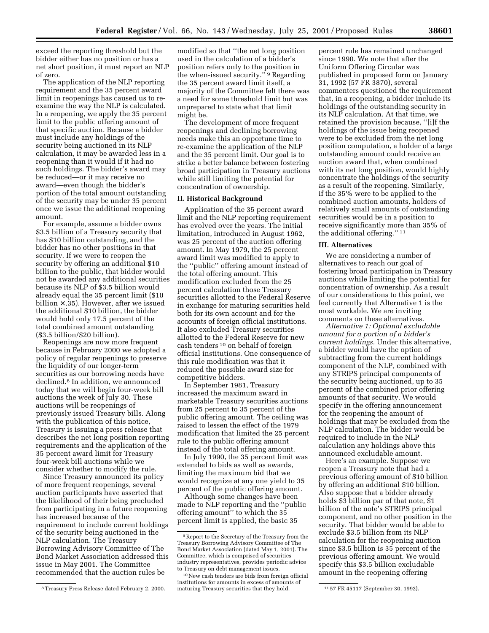exceed the reporting threshold but the bidder either has no position or has a net short position, it must report an NLP of zero.

The application of the NLP reporting requirement and the 35 percent award limit in reopenings has caused us to reexamine the way the NLP is calculated. In a reopening, we apply the 35 percent limit to the public offering amount of that specific auction. Because a bidder must include any holdings of the security being auctioned in its NLP calculation, it may be awarded less in a reopening than it would if it had no such holdings. The bidder's award may be reduced—or it may receive no award—even though the bidder's portion of the total amount outstanding of the security may be under 35 percent once we issue the additional reopening amount.

For example, assume a bidder owns \$3.5 billion of a Treasury security that has \$10 billion outstanding, and the bidder has no other positions in that security. If we were to reopen the security by offering an additional \$10 billion to the public, that bidder would not be awarded any additional securities because its NLP of \$3.5 billion would already equal the 35 percent limit (\$10 billion × .35). However, after we issued the additional \$10 billion, the bidder would hold only 17.5 percent of the total combined amount outstanding (\$3.5 billion/\$20 billion).

Reopenings are now more frequent because in February 2000 we adopted a policy of regular reopenings to preserve the liquidity of our longer-term securities as our borrowing needs have declined.8 In addition, we announced today that we will begin four-week bill auctions the week of July 30. These auctions will be reopenings of previously issued Treasury bills. Along with the publication of this notice, Treasury is issuing a press release that describes the net long position reporting requirements and the application of the 35 percent award limit for Treasury four-week bill auctions while we consider whether to modify the rule.

Since Treasury announced its policy of more frequent reopenings, several auction participants have asserted that the likelihood of their being precluded from participating in a future reopening has increased because of the requirement to include current holdings of the security being auctioned in the NLP calculation. The Treasury Borrowing Advisory Committee of The Bond Market Association addressed this issue in May 2001. The Committee recommended that the auction rules be

modified so that ''the net long position used in the calculation of a bidder's position refers only to the position in the when-issued security."<sup>9</sup> Regarding the 35 percent award limit itself, a majority of the Committee felt there was a need for some threshold limit but was unprepared to state what that limit might be.

The development of more frequent reopenings and declining borrowing needs make this an opportune time to re-examine the application of the NLP and the 35 percent limit. Our goal is to strike a better balance between fostering broad participation in Treasury auctions while still limiting the potential for concentration of ownership.

#### **II. Historical Background**

Application of the 35 percent award limit and the NLP reporting requirement has evolved over the years. The initial limitation, introduced in August 1962, was 25 percent of the auction offering amount. In May 1979, the 25 percent award limit was modified to apply to the ''public'' offering amount instead of the total offering amount. This modification excluded from the 25 percent calculation those Treasury securities allotted to the Federal Reserve in exchange for maturing securities held both for its own account and for the accounts of foreign official institutions. It also excluded Treasury securities allotted to the Federal Reserve for new cash tenders 10 on behalf of foreign official institutions. One consequence of this rule modification was that it reduced the possible award size for competitive bidders.

In September 1981, Treasury increased the maximum award in marketable Treasury securities auctions from 25 percent to 35 percent of the public offering amount. The ceiling was raised to lessen the effect of the 1979 modification that limited the 25 percent rule to the public offering amount instead of the total offering amount.

In July 1990, the 35 percent limit was extended to bids as well as awards, limiting the maximum bid that we would recognize at any one yield to 35 percent of the public offering amount.

Although some changes have been made to NLP reporting and the ''public offering amount'' to which the 35 percent limit is applied, the basic 35

percent rule has remained unchanged since 1990. We note that after the Uniform Offering Circular was published in proposed form on January 31, 1992 (57 FR 3870), several commenters questioned the requirement that, in a reopening, a bidder include its holdings of the outstanding security in its NLP calculation. At that time, we retained the provision because, ''[i]f the holdings of the issue being reopened were to be excluded from the net long position computation, a holder of a large outstanding amount could receive an auction award that, when combined with its net long position, would highly concentrate the holdings of the security as a result of the reopening. Similarly, if the 35% were to be applied to the combined auction amounts, holders of relatively small amounts of outstanding securities would be in a position to receive significantly more than 35% of the additional offering.'' 11

#### **III. Alternatives**

We are considering a number of alternatives to reach our goal of fostering broad participation in Treasury auctions while limiting the potential for concentration of ownership. As a result of our considerations to this point, we feel currently that Alternative 1 is the most workable. We are inviting comments on these alternatives.

*Alternative 1: Optional excludable amount for a portion of a bidder's current holdings.* Under this alternative, a bidder would have the option of subtracting from the current holdings component of the NLP, combined with any STRIPS principal components of the security being auctioned, up to 35 percent of the combined prior offering amounts of that security. We would specify in the offering announcement for the reopening the amount of holdings that may be excluded from the NLP calculation. The bidder would be required to include in the NLP calculation any holdings above this announced excludable amount.

Here's an example. Suppose we reopen a Treasury note that had a previous offering amount of \$10 billion by offering an additional \$10 billion. Also suppose that a bidder already holds \$3 billion par of that note, \$1 billion of the note's STRIPS principal component, and no other position in the security. That bidder would be able to exclude \$3.5 billion from its NLP calculation for the reopening auction since \$3.5 billion is 35 percent of the previous offering amount. We would specify this \$3.5 billion excludable amount in the reopening offering

<sup>8</sup>Treasury Press Release dated February 2, 2000.

<sup>9</sup>Report to the Secretary of the Treasury from the Treasury Borrowing Advisory Committee of The Bond Market Association (dated May 1, 2001). The Committee, which is comprised of securities industry representatives, provides periodic advice to Treasury on debt management issues.

<sup>10</sup>New cash tenders are bids from foreign official institutions for amounts in excess of amounts of maturing Treasury securities that they hold. 1157 FR 45117 (September 30, 1992).